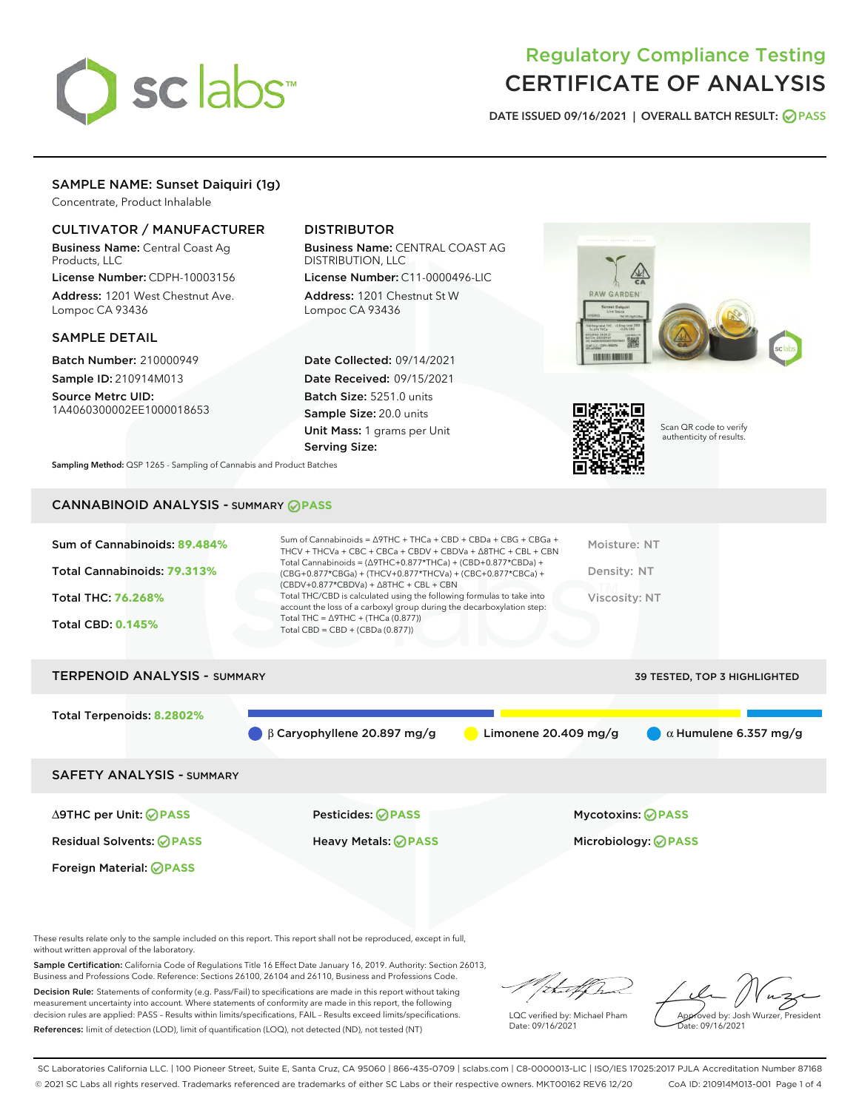

# Regulatory Compliance Testing CERTIFICATE OF ANALYSIS

DATE ISSUED 09/16/2021 | OVERALL BATCH RESULT: @ PASS

# SAMPLE NAME: Sunset Daiquiri (1g)

Concentrate, Product Inhalable

## CULTIVATOR / MANUFACTURER

Business Name: Central Coast Ag Products, LLC

License Number: CDPH-10003156 Address: 1201 West Chestnut Ave. Lompoc CA 93436

#### SAMPLE DETAIL

Batch Number: 210000949 Sample ID: 210914M013

Source Metrc UID: 1A4060300002EE1000018653

# DISTRIBUTOR

Business Name: CENTRAL COAST AG DISTRIBUTION, LLC License Number: C11-0000496-LIC

Address: 1201 Chestnut St W Lompoc CA 93436

Date Collected: 09/14/2021 Date Received: 09/15/2021 Batch Size: 5251.0 units Sample Size: 20.0 units Unit Mass: 1 grams per Unit Serving Size:





Scan QR code to verify authenticity of results.

Sampling Method: QSP 1265 - Sampling of Cannabis and Product Batches

# CANNABINOID ANALYSIS - SUMMARY **PASS**

| Sum of Cannabinoids: 89.484%<br>Total Cannabinoids: 79.313%<br><b>Total THC: 76.268%</b><br><b>Total CBD: 0.145%</b> | Sum of Cannabinoids = $\triangle$ 9THC + THCa + CBD + CBDa + CBG + CBGa +<br>THCV + THCVa + CBC + CBCa + CBDV + CBDVa + $\Delta$ 8THC + CBL + CBN<br>Total Cannabinoids = $(\Delta$ 9THC+0.877*THCa) + (CBD+0.877*CBDa) +<br>(CBG+0.877*CBGa) + (THCV+0.877*THCVa) + (CBC+0.877*CBCa) +<br>$(CBDV+0.877*CBDVa) + \Delta 8THC + CBL + CBN$<br>Total THC/CBD is calculated using the following formulas to take into<br>account the loss of a carboxyl group during the decarboxylation step:<br>Total THC = $\triangle$ 9THC + (THCa (0.877))<br>Total CBD = $CBD + (CBDa (0.877))$ | Moisture: NT<br>Density: NT<br><b>Viscosity: NT</b> |
|----------------------------------------------------------------------------------------------------------------------|------------------------------------------------------------------------------------------------------------------------------------------------------------------------------------------------------------------------------------------------------------------------------------------------------------------------------------------------------------------------------------------------------------------------------------------------------------------------------------------------------------------------------------------------------------------------------------|-----------------------------------------------------|
| <b>TERPENOID ANALYSIS - SUMMARY</b>                                                                                  |                                                                                                                                                                                                                                                                                                                                                                                                                                                                                                                                                                                    | 39 TESTED, TOP 3 HIGHLIGHTED                        |
| Total Terpenoids: 8.2802%                                                                                            | $\beta$ Caryophyllene 20.897 mg/g<br>Limonene 20.409 mg/g                                                                                                                                                                                                                                                                                                                                                                                                                                                                                                                          | $\alpha$ Humulene 6.357 mg/g                        |

SAFETY ANALYSIS - SUMMARY

∆9THC per Unit: **PASS** Pesticides: **PASS** Mycotoxins: **PASS**

Foreign Material: **PASS**

Residual Solvents: **PASS** Heavy Metals: **PASS** Microbiology: **PASS**

These results relate only to the sample included on this report. This report shall not be reproduced, except in full, without written approval of the laboratory.

Sample Certification: California Code of Regulations Title 16 Effect Date January 16, 2019. Authority: Section 26013, Business and Professions Code. Reference: Sections 26100, 26104 and 26110, Business and Professions Code.

Decision Rule: Statements of conformity (e.g. Pass/Fail) to specifications are made in this report without taking measurement uncertainty into account. Where statements of conformity are made in this report, the following decision rules are applied: PASS – Results within limits/specifications, FAIL – Results exceed limits/specifications. References: limit of detection (LOD), limit of quantification (LOQ), not detected (ND), not tested (NT)

that fCh

LQC verified by: Michael Pham Date: 09/16/2021

Approved by: Josh Wurzer, President Date: 09/16/2021

SC Laboratories California LLC. | 100 Pioneer Street, Suite E, Santa Cruz, CA 95060 | 866-435-0709 | sclabs.com | C8-0000013-LIC | ISO/IES 17025:2017 PJLA Accreditation Number 87168 © 2021 SC Labs all rights reserved. Trademarks referenced are trademarks of either SC Labs or their respective owners. MKT00162 REV6 12/20 CoA ID: 210914M013-001 Page 1 of 4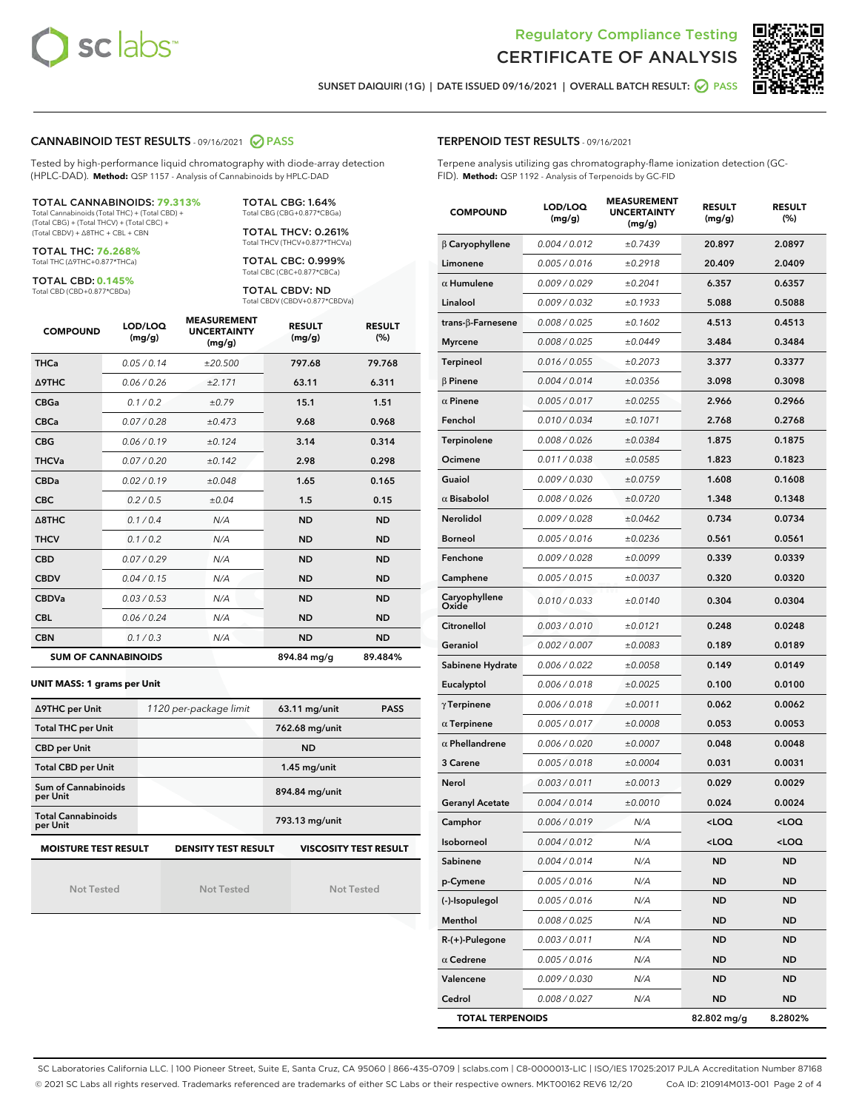



SUNSET DAIQUIRI (1G) | DATE ISSUED 09/16/2021 | OVERALL BATCH RESULT: **● PASS** 

#### CANNABINOID TEST RESULTS - 09/16/2021 2 PASS

Tested by high-performance liquid chromatography with diode-array detection (HPLC-DAD). **Method:** QSP 1157 - Analysis of Cannabinoids by HPLC-DAD

#### TOTAL CANNABINOIDS: **79.313%**

Total Cannabinoids (Total THC) + (Total CBD) + (Total CBG) + (Total THCV) + (Total CBC) + (Total CBDV) + ∆8THC + CBL + CBN

TOTAL THC: **76.268%** Total THC (∆9THC+0.877\*THCa)

TOTAL CBD: **0.145%**

Total CBD (CBD+0.877\*CBDa)

TOTAL CBG: 1.64% Total CBG (CBG+0.877\*CBGa)

TOTAL THCV: 0.261% Total THCV (THCV+0.877\*THCVa)

TOTAL CBC: 0.999% Total CBC (CBC+0.877\*CBCa)

TOTAL CBDV: ND Total CBDV (CBDV+0.877\*CBDVa)

| <b>COMPOUND</b>  | LOD/LOQ<br>(mg/g)          | <b>MEASUREMENT</b><br><b>UNCERTAINTY</b><br>(mg/g) | <b>RESULT</b><br>(mg/g) | <b>RESULT</b><br>(%) |
|------------------|----------------------------|----------------------------------------------------|-------------------------|----------------------|
| <b>THCa</b>      | 0.05/0.14                  | ±20.500                                            | 797.68                  | 79.768               |
| <b>A9THC</b>     | 0.06 / 0.26                | ±2.171                                             | 63.11                   | 6.311                |
| <b>CBGa</b>      | 0.1/0.2                    | ±0.79                                              | 15.1                    | 1.51                 |
| <b>CBCa</b>      | 0.07/0.28                  | ±0.473                                             | 9.68                    | 0.968                |
| <b>CBG</b>       | 0.06/0.19                  | ±0.124                                             | 3.14                    | 0.314                |
| <b>THCVa</b>     | 0.07/0.20                  | ±0.142                                             | 2.98                    | 0.298                |
| <b>CBDa</b>      | 0.02/0.19                  | ±0.048                                             | 1.65                    | 0.165                |
| <b>CBC</b>       | 0.2 / 0.5                  | ±0.04                                              | 1.5                     | 0.15                 |
| $\triangle$ 8THC | 0.1/0.4                    | N/A                                                | <b>ND</b>               | <b>ND</b>            |
| <b>THCV</b>      | 0.1/0.2                    | N/A                                                | <b>ND</b>               | <b>ND</b>            |
| <b>CBD</b>       | 0.07/0.29                  | N/A                                                | <b>ND</b>               | <b>ND</b>            |
| <b>CBDV</b>      | 0.04 / 0.15                | N/A                                                | <b>ND</b>               | <b>ND</b>            |
| <b>CBDVa</b>     | 0.03/0.53                  | N/A                                                | <b>ND</b>               | <b>ND</b>            |
| <b>CBL</b>       | 0.06 / 0.24                | N/A                                                | <b>ND</b>               | <b>ND</b>            |
| <b>CBN</b>       | 0.1/0.3                    | N/A                                                | <b>ND</b>               | <b>ND</b>            |
|                  | <b>SUM OF CANNABINOIDS</b> |                                                    | 894.84 mg/g             | 89.484%              |

#### **UNIT MASS: 1 grams per Unit**

| ∆9THC per Unit                        | 1120 per-package limit     | $63.11$ mg/unit<br><b>PASS</b> |  |  |
|---------------------------------------|----------------------------|--------------------------------|--|--|
| <b>Total THC per Unit</b>             |                            | 762.68 mg/unit                 |  |  |
| <b>CBD per Unit</b>                   |                            | <b>ND</b>                      |  |  |
| <b>Total CBD per Unit</b>             |                            | $1.45$ mg/unit                 |  |  |
| Sum of Cannabinoids<br>per Unit       |                            | 894.84 mg/unit                 |  |  |
| <b>Total Cannabinoids</b><br>per Unit |                            | 793.13 mg/unit                 |  |  |
| <b>MOISTURE TEST RESULT</b>           | <b>DENSITY TEST RESULT</b> | <b>VISCOSITY TEST RESULT</b>   |  |  |

Not Tested

Not Tested

Not Tested

#### TERPENOID TEST RESULTS - 09/16/2021

Terpene analysis utilizing gas chromatography-flame ionization detection (GC-FID). **Method:** QSP 1192 - Analysis of Terpenoids by GC-FID

| <b>COMPOUND</b>          | LOD/LOQ<br>(mg/g) | <b>MEASUREMENT</b><br><b>UNCERTAINTY</b><br>(mg/g) | <b>RESULT</b><br>(mg/g)                         | <b>RESULT</b><br>(%) |
|--------------------------|-------------------|----------------------------------------------------|-------------------------------------------------|----------------------|
| $\beta$ Caryophyllene    | 0.004 / 0.012     | ±0.7439                                            | 20.897                                          | 2.0897               |
| Limonene                 | 0.005 / 0.016     | ±0.2918                                            | 20.409                                          | 2.0409               |
| $\alpha$ Humulene        | 0.009/0.029       | ±0.2041                                            | 6.357                                           | 0.6357               |
| Linalool                 | 0.009 / 0.032     | ±0.1933                                            | 5.088                                           | 0.5088               |
| $trans-\beta$ -Farnesene | 0.008 / 0.025     | ±0.1602                                            | 4.513                                           | 0.4513               |
| <b>Myrcene</b>           | 0.008 / 0.025     | ±0.0449                                            | 3.484                                           | 0.3484               |
| Terpineol                | 0.016 / 0.055     | ±0.2073                                            | 3.377                                           | 0.3377               |
| $\beta$ Pinene           | 0.004 / 0.014     | ±0.0356                                            | 3.098                                           | 0.3098               |
| $\alpha$ Pinene          | 0.005 / 0.017     | ±0.0255                                            | 2.966                                           | 0.2966               |
| Fenchol                  | 0.010 / 0.034     | ±0.1071                                            | 2.768                                           | 0.2768               |
| Terpinolene              | 0.008 / 0.026     | ±0.0384                                            | 1.875                                           | 0.1875               |
| Ocimene                  | 0.011 / 0.038     | ±0.0585                                            | 1.823                                           | 0.1823               |
| Guaiol                   | 0.009 / 0.030     | ±0.0759                                            | 1.608                                           | 0.1608               |
| $\alpha$ Bisabolol       | 0.008 / 0.026     | ±0.0720                                            | 1.348                                           | 0.1348               |
| Nerolidol                | 0.009 / 0.028     | ±0.0462                                            | 0.734                                           | 0.0734               |
| <b>Borneol</b>           | 0.005 / 0.016     | ±0.0236                                            | 0.561                                           | 0.0561               |
| Fenchone                 | 0.009 / 0.028     | ±0.0099                                            | 0.339                                           | 0.0339               |
| Camphene                 | 0.005 / 0.015     | ±0.0037                                            | 0.320                                           | 0.0320               |
| Caryophyllene<br>Oxide   | 0.010 / 0.033     | ±0.0140                                            | 0.304                                           | 0.0304               |
| Citronellol              | 0.003 / 0.010     | ±0.0121                                            | 0.248                                           | 0.0248               |
| Geraniol                 | 0.002 / 0.007     | ±0.0083                                            | 0.189                                           | 0.0189               |
| Sabinene Hydrate         | 0.006 / 0.022     | ±0.0058                                            | 0.149                                           | 0.0149               |
| Eucalyptol               | 0.006 / 0.018     | ±0.0025                                            | 0.100                                           | 0.0100               |
| $\gamma$ Terpinene       | 0.006 / 0.018     | ±0.0011                                            | 0.062                                           | 0.0062               |
| $\alpha$ Terpinene       | 0.005 / 0.017     | ±0.0008                                            | 0.053                                           | 0.0053               |
| $\alpha$ Phellandrene    | 0.006 / 0.020     | ±0.0007                                            | 0.048                                           | 0.0048               |
| 3 Carene                 | 0.005 / 0.018     | ±0.0004                                            | 0.031                                           | 0.0031               |
| Nerol                    | 0.003 / 0.011     | ±0.0013                                            | 0.029                                           | 0.0029               |
| Geranyl Acetate          | 0.004 / 0.014     | ±0.0010                                            | 0.024                                           | 0.0024               |
| Camphor                  | 0.006 / 0.019     | N/A                                                | $<$ LOQ                                         | $<$ LOQ              |
| Isoborneol               | 0.004 / 0.012     | N/A                                                | <loq< th=""><th><loq< th=""></loq<></th></loq<> | <loq< th=""></loq<>  |
| Sabinene                 | 0.004 / 0.014     | N/A                                                | <b>ND</b>                                       | <b>ND</b>            |
| p-Cymene                 | 0.005 / 0.016     | N/A                                                | ND                                              | ND                   |
| (-)-Isopulegol           | 0.005 / 0.016     | N/A                                                | ND                                              | ND                   |
| Menthol                  | 0.008 / 0.025     | N/A                                                | ND                                              | ND                   |
| $R-(+)$ -Pulegone        | 0.003 / 0.011     | N/A                                                | ND                                              | ND                   |
| $\alpha$ Cedrene         | 0.005 / 0.016     | N/A                                                | ND                                              | ND                   |
| Valencene                | 0.009 / 0.030     | N/A                                                | ND                                              | ND                   |
| Cedrol                   | 0.008 / 0.027     | N/A                                                | ND                                              | ND                   |
| <b>TOTAL TERPENOIDS</b>  |                   | 82.802 mg/g                                        | 8.2802%                                         |                      |

SC Laboratories California LLC. | 100 Pioneer Street, Suite E, Santa Cruz, CA 95060 | 866-435-0709 | sclabs.com | C8-0000013-LIC | ISO/IES 17025:2017 PJLA Accreditation Number 87168 © 2021 SC Labs all rights reserved. Trademarks referenced are trademarks of either SC Labs or their respective owners. MKT00162 REV6 12/20 CoA ID: 210914M013-001 Page 2 of 4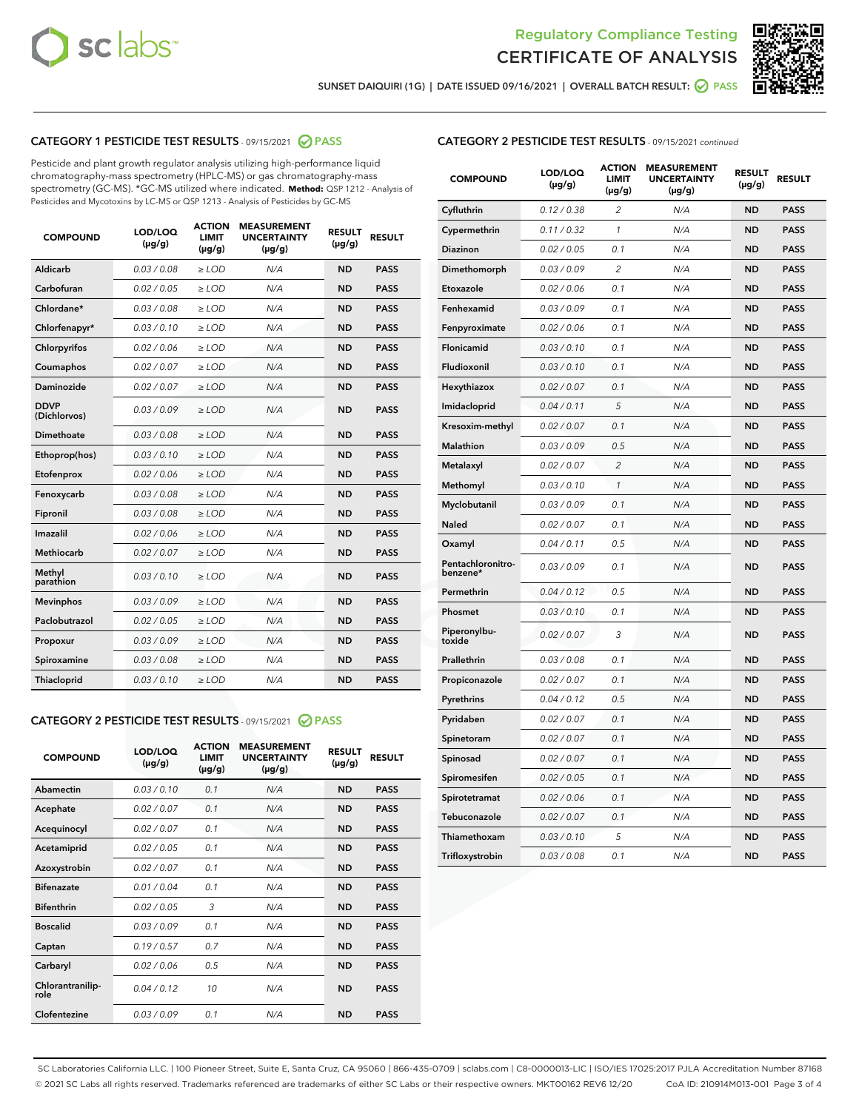



SUNSET DAIQUIRI (1G) | DATE ISSUED 09/16/2021 | OVERALL BATCH RESULT: @ PASS

# CATEGORY 1 PESTICIDE TEST RESULTS - 09/15/2021 2 PASS

Pesticide and plant growth regulator analysis utilizing high-performance liquid chromatography-mass spectrometry (HPLC-MS) or gas chromatography-mass spectrometry (GC-MS). \*GC-MS utilized where indicated. **Method:** QSP 1212 - Analysis of Pesticides and Mycotoxins by LC-MS or QSP 1213 - Analysis of Pesticides by GC-MS

| <b>COMPOUND</b>             | LOD/LOQ<br>$(\mu g/g)$ | <b>ACTION</b><br><b>LIMIT</b><br>$(\mu g/g)$ | <b>MEASUREMENT</b><br><b>UNCERTAINTY</b><br>$(\mu g/g)$ | <b>RESULT</b><br>$(\mu g/g)$ | <b>RESULT</b> |
|-----------------------------|------------------------|----------------------------------------------|---------------------------------------------------------|------------------------------|---------------|
| Aldicarb                    | 0.03 / 0.08            | $\ge$ LOD                                    | N/A                                                     | <b>ND</b>                    | <b>PASS</b>   |
| Carbofuran                  | 0.02/0.05              | $>$ LOD                                      | N/A                                                     | <b>ND</b>                    | <b>PASS</b>   |
| Chlordane*                  | 0.03 / 0.08            | $\ge$ LOD                                    | N/A                                                     | <b>ND</b>                    | <b>PASS</b>   |
| Chlorfenapyr*               | 0.03/0.10              | $\ge$ LOD                                    | N/A                                                     | <b>ND</b>                    | <b>PASS</b>   |
| Chlorpyrifos                | 0.02 / 0.06            | $\ge$ LOD                                    | N/A                                                     | <b>ND</b>                    | <b>PASS</b>   |
| Coumaphos                   | 0.02 / 0.07            | $>$ LOD                                      | N/A                                                     | <b>ND</b>                    | <b>PASS</b>   |
| Daminozide                  | 0.02 / 0.07            | $\ge$ LOD                                    | N/A                                                     | <b>ND</b>                    | <b>PASS</b>   |
| <b>DDVP</b><br>(Dichlorvos) | 0.03/0.09              | $\ge$ LOD                                    | N/A                                                     | <b>ND</b>                    | <b>PASS</b>   |
| <b>Dimethoate</b>           | 0.03 / 0.08            | $\ge$ LOD                                    | N/A                                                     | <b>ND</b>                    | <b>PASS</b>   |
| Ethoprop(hos)               | 0.03/0.10              | $>$ LOD                                      | N/A                                                     | <b>ND</b>                    | <b>PASS</b>   |
| Etofenprox                  | 0.02 / 0.06            | $\ge$ LOD                                    | N/A                                                     | <b>ND</b>                    | <b>PASS</b>   |
| Fenoxycarb                  | 0.03 / 0.08            | $>$ LOD                                      | N/A                                                     | <b>ND</b>                    | <b>PASS</b>   |
| Fipronil                    | 0.03 / 0.08            | $\ge$ LOD                                    | N/A                                                     | <b>ND</b>                    | <b>PASS</b>   |
| Imazalil                    | 0.02 / 0.06            | $\ge$ LOD                                    | N/A                                                     | <b>ND</b>                    | <b>PASS</b>   |
| Methiocarb                  | 0.02 / 0.07            | $\ge$ LOD                                    | N/A                                                     | <b>ND</b>                    | <b>PASS</b>   |
| Methyl<br>parathion         | 0.03/0.10              | $>$ LOD                                      | N/A                                                     | <b>ND</b>                    | <b>PASS</b>   |
| <b>Mevinphos</b>            | 0.03/0.09              | $>$ LOD                                      | N/A                                                     | <b>ND</b>                    | <b>PASS</b>   |
| Paclobutrazol               | 0.02 / 0.05            | $\ge$ LOD                                    | N/A                                                     | <b>ND</b>                    | <b>PASS</b>   |
| Propoxur                    | 0.03/0.09              | $\ge$ LOD                                    | N/A                                                     | <b>ND</b>                    | <b>PASS</b>   |
| Spiroxamine                 | 0.03 / 0.08            | $\ge$ LOD                                    | N/A                                                     | <b>ND</b>                    | <b>PASS</b>   |
| <b>Thiacloprid</b>          | 0.03/0.10              | $\ge$ LOD                                    | N/A                                                     | <b>ND</b>                    | <b>PASS</b>   |
|                             |                        |                                              |                                                         |                              |               |

# CATEGORY 2 PESTICIDE TEST RESULTS - 09/15/2021 @ PASS

| <b>COMPOUND</b>          | LOD/LOO<br>$(\mu g/g)$ | <b>ACTION</b><br>LIMIT<br>$(\mu g/g)$ | <b>MEASUREMENT</b><br><b>UNCERTAINTY</b><br>$(\mu g/g)$ | <b>RESULT</b><br>$(\mu g/g)$ | <b>RESULT</b> |  |
|--------------------------|------------------------|---------------------------------------|---------------------------------------------------------|------------------------------|---------------|--|
| Abamectin                | 0.03/0.10              | 0.1                                   | N/A                                                     | <b>ND</b>                    | <b>PASS</b>   |  |
| Acephate                 | 0.02/0.07              | 0.1                                   | N/A                                                     | <b>ND</b>                    | <b>PASS</b>   |  |
| Acequinocyl              | 0.02/0.07              | 0.1                                   | N/A                                                     | <b>ND</b>                    | <b>PASS</b>   |  |
| Acetamiprid              | 0.02/0.05              | 0.1                                   | N/A                                                     | <b>ND</b>                    | <b>PASS</b>   |  |
| Azoxystrobin             | 0.02/0.07              | 0.1                                   | N/A                                                     | <b>ND</b>                    | <b>PASS</b>   |  |
| <b>Bifenazate</b>        | 0.01/0.04              | 0.1                                   | N/A                                                     | <b>ND</b>                    | <b>PASS</b>   |  |
| <b>Bifenthrin</b>        | 0.02/0.05              | 3                                     | N/A                                                     | <b>ND</b>                    | <b>PASS</b>   |  |
| <b>Boscalid</b>          | 0.03/0.09              | 0.1                                   | N/A                                                     | <b>ND</b>                    | <b>PASS</b>   |  |
| Captan                   | 0.19/0.57              | 0.7                                   | N/A                                                     | <b>ND</b>                    | <b>PASS</b>   |  |
| Carbaryl                 | 0.02/0.06              | 0.5                                   | N/A                                                     | <b>ND</b>                    | <b>PASS</b>   |  |
| Chlorantranilip-<br>role | 0.04/0.12              | 10                                    | N/A                                                     | <b>ND</b>                    | <b>PASS</b>   |  |
| Clofentezine             | 0.03/0.09              | 0.1                                   | N/A                                                     | <b>ND</b>                    | <b>PASS</b>   |  |

| <b>CATEGORY 2 PESTICIDE TEST RESULTS</b> - 09/15/2021 continued |
|-----------------------------------------------------------------|
|-----------------------------------------------------------------|

| <b>COMPOUND</b>               | LOD/LOQ<br>(µg/g) | <b>ACTION</b><br><b>LIMIT</b><br>(µg/g) | <b>MEASUREMENT</b><br><b>UNCERTAINTY</b><br>$(\mu g/g)$ | <b>RESULT</b><br>(µg/g) | <b>RESULT</b> |
|-------------------------------|-------------------|-----------------------------------------|---------------------------------------------------------|-------------------------|---------------|
| Cyfluthrin                    | 0.12 / 0.38       | $\overline{c}$                          | N/A                                                     | <b>ND</b>               | <b>PASS</b>   |
| Cypermethrin                  | 0.11/0.32         | 1                                       | N/A                                                     | <b>ND</b>               | <b>PASS</b>   |
| <b>Diazinon</b>               | 0.02 / 0.05       | 0.1                                     | N/A                                                     | <b>ND</b>               | <b>PASS</b>   |
| Dimethomorph                  | 0.03 / 0.09       | 2                                       | N/A                                                     | ND                      | <b>PASS</b>   |
| Etoxazole                     | 0.02 / 0.06       | 0.1                                     | N/A                                                     | ND                      | <b>PASS</b>   |
| Fenhexamid                    | 0.03 / 0.09       | 0.1                                     | N/A                                                     | <b>ND</b>               | <b>PASS</b>   |
| Fenpyroximate                 | 0.02 / 0.06       | 0.1                                     | N/A                                                     | <b>ND</b>               | <b>PASS</b>   |
| Flonicamid                    | 0.03/0.10         | 0.1                                     | N/A                                                     | <b>ND</b>               | <b>PASS</b>   |
| Fludioxonil                   | 0.03/0.10         | 0.1                                     | N/A                                                     | <b>ND</b>               | <b>PASS</b>   |
| Hexythiazox                   | 0.02 / 0.07       | 0.1                                     | N/A                                                     | <b>ND</b>               | <b>PASS</b>   |
| Imidacloprid                  | 0.04 / 0.11       | 5                                       | N/A                                                     | <b>ND</b>               | <b>PASS</b>   |
| Kresoxim-methyl               | 0.02 / 0.07       | 0.1                                     | N/A                                                     | ND                      | <b>PASS</b>   |
| <b>Malathion</b>              | 0.03 / 0.09       | 0.5                                     | N/A                                                     | <b>ND</b>               | <b>PASS</b>   |
| Metalaxyl                     | 0.02 / 0.07       | $\overline{c}$                          | N/A                                                     | ND                      | <b>PASS</b>   |
| Methomyl                      | 0.03 / 0.10       | 1                                       | N/A                                                     | <b>ND</b>               | <b>PASS</b>   |
| Myclobutanil                  | 0.03 / 0.09       | 0.1                                     | N/A                                                     | <b>ND</b>               | <b>PASS</b>   |
| Naled                         | 0.02 / 0.07       | 0.1                                     | N/A                                                     | <b>ND</b>               | <b>PASS</b>   |
| Oxamyl                        | 0.04 / 0.11       | 0.5                                     | N/A                                                     | ND                      | <b>PASS</b>   |
| Pentachloronitro-<br>benzene* | 0.03 / 0.09       | 0.1                                     | N/A                                                     | ND                      | <b>PASS</b>   |
| Permethrin                    | 0.04 / 0.12       | 0.5                                     | N/A                                                     | <b>ND</b>               | <b>PASS</b>   |
| Phosmet                       | 0.03 / 0.10       | 0.1                                     | N/A                                                     | <b>ND</b>               | <b>PASS</b>   |
| Piperonylbu-<br>toxide        | 0.02 / 0.07       | 3                                       | N/A                                                     | <b>ND</b>               | <b>PASS</b>   |
| Prallethrin                   | 0.03 / 0.08       | 0.1                                     | N/A                                                     | <b>ND</b>               | <b>PASS</b>   |
| Propiconazole                 | 0.02 / 0.07       | 0.1                                     | N/A                                                     | <b>ND</b>               | <b>PASS</b>   |
| Pyrethrins                    | 0.04 / 0.12       | 0.5                                     | N/A                                                     | <b>ND</b>               | <b>PASS</b>   |
| Pyridaben                     | 0.02 / 0.07       | 0.1                                     | N/A                                                     | ND                      | <b>PASS</b>   |
| Spinetoram                    | 0.02 / 0.07       | 0.1                                     | N/A                                                     | <b>ND</b>               | <b>PASS</b>   |
| Spinosad                      | 0.02 / 0.07       | 0.1                                     | N/A                                                     | <b>ND</b>               | <b>PASS</b>   |
| Spiromesifen                  | 0.02 / 0.05       | 0.1                                     | N/A                                                     | ND                      | PASS          |
| Spirotetramat                 | 0.02 / 0.06       | 0.1                                     | N/A                                                     | <b>ND</b>               | <b>PASS</b>   |
| Tebuconazole                  | 0.02 / 0.07       | 0.1                                     | N/A                                                     | <b>ND</b>               | <b>PASS</b>   |
| Thiamethoxam                  | 0.03 / 0.10       | 5                                       | N/A                                                     | ND                      | <b>PASS</b>   |
| Trifloxystrobin               | 0.03 / 0.08       | 0.1                                     | N/A                                                     | ND                      | <b>PASS</b>   |

SC Laboratories California LLC. | 100 Pioneer Street, Suite E, Santa Cruz, CA 95060 | 866-435-0709 | sclabs.com | C8-0000013-LIC | ISO/IES 17025:2017 PJLA Accreditation Number 87168 © 2021 SC Labs all rights reserved. Trademarks referenced are trademarks of either SC Labs or their respective owners. MKT00162 REV6 12/20 CoA ID: 210914M013-001 Page 3 of 4